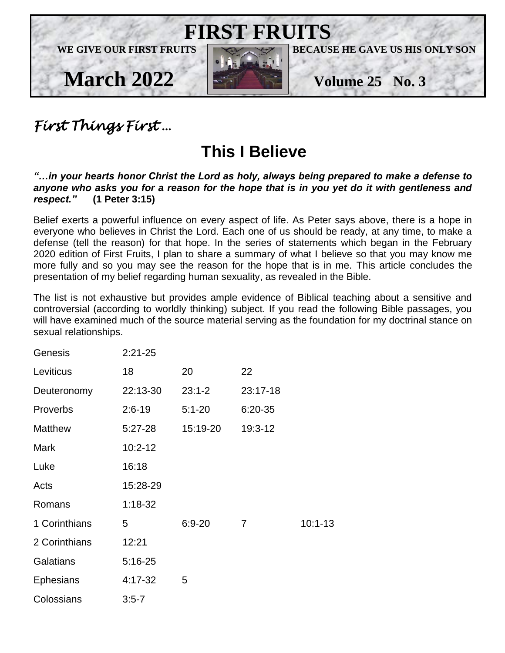

# *First Things First* …

# **This I Believe**

#### *"…in your hearts honor Christ the Lord as holy, always being prepared to make a defense to anyone who asks you for a reason for the hope that is in you yet do it with gentleness and respect."* **(1 Peter 3:15)**

Belief exerts a powerful influence on every aspect of life. As Peter says above, there is a hope in everyone who believes in Christ the Lord. Each one of us should be ready, at any time, to make a defense (tell the reason) for that hope. In the series of statements which began in the February 2020 edition of First Fruits, I plan to share a summary of what I believe so that you may know me more fully and so you may see the reason for the hope that is in me. This article concludes the presentation of my belief regarding human sexuality, as revealed in the Bible.

The list is not exhaustive but provides ample evidence of Biblical teaching about a sensitive and controversial (according to worldly thinking) subject. If you read the following Bible passages, you will have examined much of the source material serving as the foundation for my doctrinal stance on sexual relationships.

| Genesis          | $2:21-25$   |            |                |             |
|------------------|-------------|------------|----------------|-------------|
| Leviticus        | 18          | 20         | 22             |             |
| Deuteronomy      | 22:13-30    | $23:1 - 2$ | 23:17-18       |             |
| Proverbs         | $2:6-19$    | $5:1 - 20$ | $6:20-35$      |             |
| <b>Matthew</b>   | $5:27-28$   | 15:19-20   | 19:3-12        |             |
| <b>Mark</b>      | $10:2 - 12$ |            |                |             |
| Luke             | 16:18       |            |                |             |
| Acts             | 15:28-29    |            |                |             |
| Romans           | $1:18-32$   |            |                |             |
| 1 Corinthians    | 5           | $6:9 - 20$ | $\overline{7}$ | $10:1 - 13$ |
| 2 Corinthians    | 12:21       |            |                |             |
| Galatians        | $5:16-25$   |            |                |             |
| <b>Ephesians</b> | 4:17-32     | 5          |                |             |
| Colossians       | $3:5 - 7$   |            |                |             |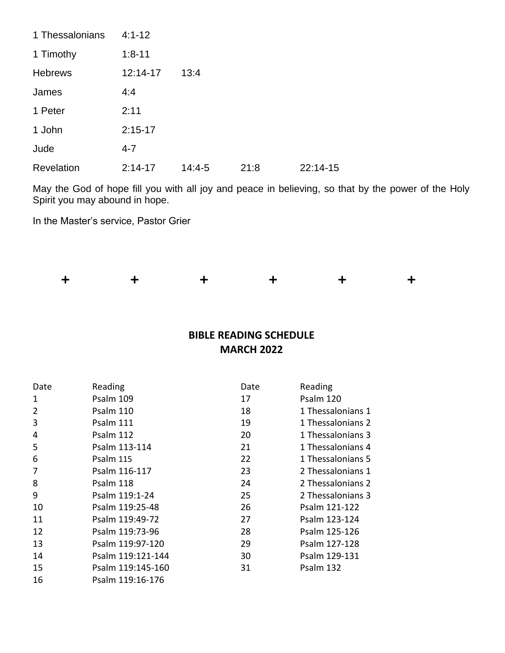| 1 Thessalonians | $4:1 - 12$ |          |      |          |
|-----------------|------------|----------|------|----------|
| 1 Timothy       | $1:8 - 11$ |          |      |          |
| <b>Hebrews</b>  | 12:14-17   | 13:4     |      |          |
| James           | 4:4        |          |      |          |
| 1 Peter         | 2:11       |          |      |          |
| 1 John          | $2:15-17$  |          |      |          |
| Jude            | $4 - 7$    |          |      |          |
| Revelation      | $2:14-17$  | $14:4-5$ | 21:8 | 22:14-15 |

May the God of hope fill you with all joy and peace in believing, so that by the power of the Holy Spirit you may abound in hope.

In the Master's service, Pastor Grier



### **BIBLE READING SCHEDULE MARCH 2022**

| Date           | Reading           | Date | Reading           |
|----------------|-------------------|------|-------------------|
| 1              | Psalm 109         | 17   | Psalm 120         |
| $\overline{2}$ | Psalm 110         | 18   | 1 Thessalonians 1 |
| 3              | Psalm 111         | 19   | 1 Thessalonians 2 |
| 4              | Psalm 112         | 20   | 1 Thessalonians 3 |
| 5              | Psalm 113-114     | 21   | 1 Thessalonians 4 |
| 6              | Psalm 115         | 22   | 1 Thessalonians 5 |
| 7              | Psalm 116-117     | 23   | 2 Thessalonians 1 |
| 8              | Psalm 118         | 24   | 2 Thessalonians 2 |
| 9              | Psalm 119:1-24    | 25   | 2 Thessalonians 3 |
| 10             | Psalm 119:25-48   | 26   | Psalm 121-122     |
| 11             | Psalm 119:49-72   | 27   | Psalm 123-124     |
| 12             | Psalm 119:73-96   | 28   | Psalm 125-126     |
| 13             | Psalm 119:97-120  | 29   | Psalm 127-128     |
| 14             | Psalm 119:121-144 | 30   | Psalm 129-131     |
| 15             | Psalm 119:145-160 | 31   | Psalm 132         |
| 16             | Psalm 119:16-176  |      |                   |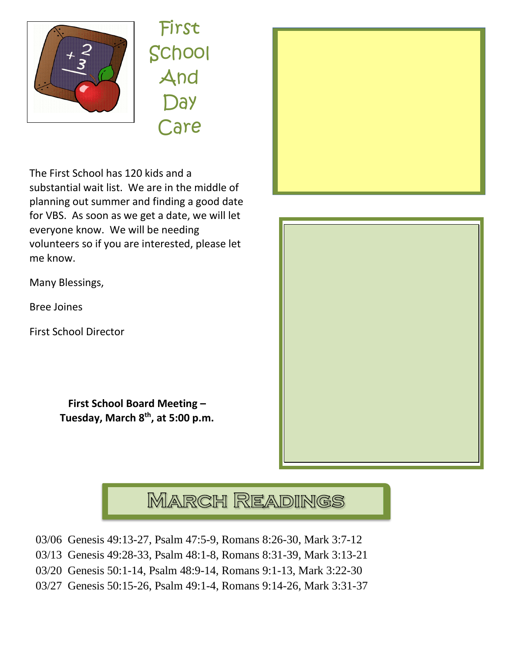

First School And Day Care

The First School has 120 kids and a substantial wait list. We are in the middle of planning out summer and finding a good date for VBS. As soon as we get a date, we will let everyone know. We will be needing volunteers so if you are interested, please let me know.

Many Blessings,

Bree Joines

First School Director

**First School Board Meeting – Tuesday, March 8 th, at 5:00 p.m.**





# **MARCH READINGS**

- 03/06 Genesis 49:13-27, Psalm 47:5-9, Romans 8:26-30, Mark 3:7-12
- 03/13 Genesis 49:28-33, Psalm 48:1-8, Romans 8:31-39, Mark 3:13-21
- 03/20 Genesis 50:1-14, Psalm 48:9-14, Romans 9:1-13, Mark 3:22-30
- 03/27 Genesis 50:15-26, Psalm 49:1-4, Romans 9:14-26, Mark 3:31-37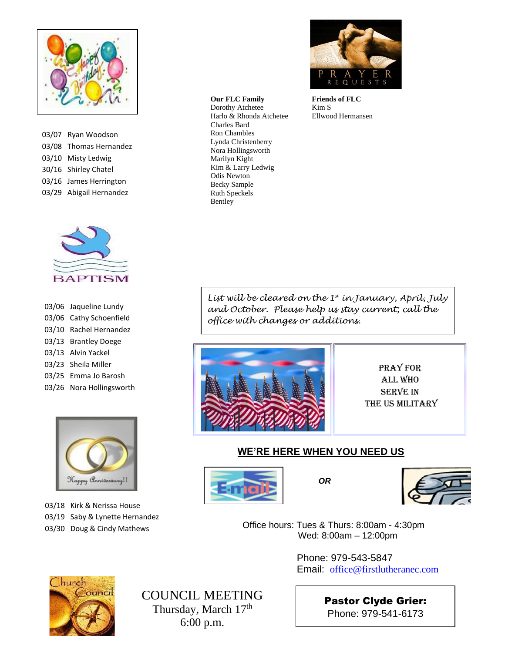

| 03/07 Ryan Woodson      |
|-------------------------|
| 03/08 Thomas Hernandez  |
| 03/10 Misty Ledwig      |
| 30/16 Shirley Chatel    |
| 03/16 James Herrington  |
| 03/29 Abigail Hernandez |



| 03/06 Jaqueline Lundy    |
|--------------------------|
| 03/06 Cathy Schoenfield  |
| 03/10 Rachel Hernandez   |
| 03/13 Brantley Doege     |
| 03/13 Alvin Yackel       |
| 03/23 Sheila Miller      |
| 03/25 Emma Jo Barosh     |
| 03/26 Nora Hollingsworth |



03/18 Kirk & Nerissa House 03/19 Saby & Lynette Hernandez 03/30 Doug & Cindy Mathews

#### **Our FLC Family**

 Nora Hollingsworth Dorothy Atchetee Harlo & Rhonda Atchetee Charles Bard Ron Chambles Lynda Christenberry Marilyn Kight Kim & Larry Ledwig Odis Newton Becky Sample Ruth Speckels Bentley



**Friends of FLC** Kim S Ellwood Hermansen

*List will be cleared on the 1st in January, April, July and October. Please help us stay current; call the office with changes or additions.*



Pray for All Who Serve In the US Military

#### **WE'RE HERE WHEN YOU NEED US**





 Office hours: Tues & Thurs: 8:00am - 4:30pm Wed: 8:00am – 12:00pm

> Phone: 979-543-5847 Email: [office@firstlutheranec.com](mailto:office@firstlutheranec.com)



COUNCIL MEETING Thursday, March 17<sup>th</sup> 6:00 p.m.

Pastor Clyde Grier: Phone: 979-541-6173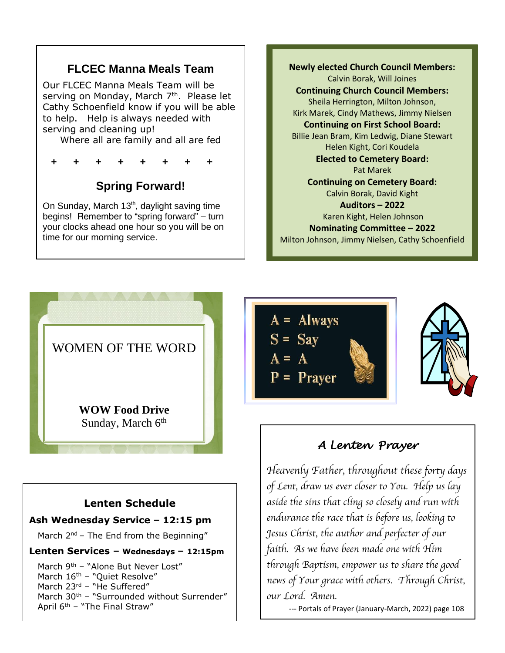## **FLCEC Manna Meals Team**

Our FLCEC Manna Meals Team will be serving on Monday, March 7<sup>th</sup>. Please let Cathy Schoenfield know if you will be able to help. Help is always needed with serving and cleaning up!

Where all are family and all are fed

**+ + + + + + + +** 

# **Spring Forward!**

 your clocks ahead one hour so you will be on time for our morning service. On Sunday, March  $13<sup>th</sup>$ , daylight saving time begins! Remember to "spring forward" – turn

İ

Ī

#### j Sheila Herrington, Milton Johnson, Kirk Marek, Cindy Mathews, Jimmy Nielsen **Newly elected Church Council Members:** Calvin Borak, Will Joines **Continuing Church Council Members: Continuing on First School Board:** Billie Jean Bram, Kim Ledwig, Diane Stewart Helen Kight, Cori Koudela **Elected to Cemetery Board:** Pat Marek **Continuing on Cemetery Board:** Calvin Borak, David Kight **Auditors – 2022** Karen Kight, Helen Johnson **Nominating Committee – 2022** Milton Johnson, Jimmy Nielsen, Cathy Schoenfield



#### **Lenten Schedule**

#### **Ash Wednesday Service – 12:15 pm**

March  $2^{nd}$  – The End from the Beginning"

**Lenten Services – Wednesdays – 12:15pm**

March 9<sup>th</sup> - "Alone But Never Lost" March 16<sup>th</sup> - "Quiet Resolve" March 23rd - "He Suffered" March 30<sup>th</sup> – "Surrounded without Surrender" April  $6^{th}$  – "The Final Straw"



# *A Lenten Prayer*

*Heavenly Father, throughout these forty days of Lent, draw us ever closer to You. Help us lay aside the sins that cling so closely and run with endurance the race that is before us, looking to Jesus Christ, the author and perfecter of our faith. As we have been made one with Him through Baptism, empower us to share the good news of Your grace with others. Through Christ, our Lord. Amen.* 

--- Portals of Prayer (January-March, 2022) page 108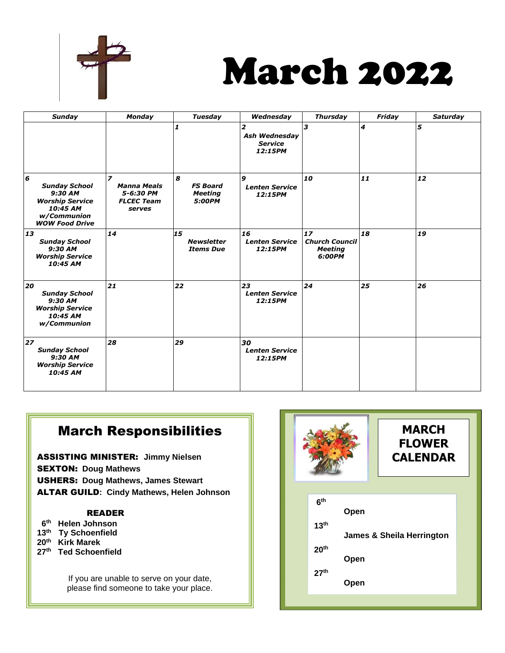

# March 2022

| <b>Sunday</b>                                                                                                        | <b>Monday</b>                                                                              | <b>Tuesday</b>                                   | Wednesday                                              | <b>Thursday</b>                                         | Friday | <b>Saturday</b> |
|----------------------------------------------------------------------------------------------------------------------|--------------------------------------------------------------------------------------------|--------------------------------------------------|--------------------------------------------------------|---------------------------------------------------------|--------|-----------------|
|                                                                                                                      |                                                                                            | 1                                                | 2<br><b>Ash Wednesday</b><br><b>Service</b><br>12:15PM | 3                                                       | 4      | 5               |
| 6<br><b>Sunday School</b><br>$9:30$ AM<br><b>Worship Service</b><br>10:45 AM<br>w/Communion<br><b>WOW Food Drive</b> | $\overline{\phantom{a}}$<br><b>Manna Meals</b><br>5-6:30 PM<br><b>FLCEC Team</b><br>serves | 8<br><b>FS Board</b><br><b>Meeting</b><br>5:00PM | 9<br><b>Lenten Service</b><br>12:15PM                  | 10                                                      | 11     | 12              |
| 13<br><b>Sunday School</b><br>9:30 AM<br><b>Worship Service</b><br>10:45 AM                                          | 14                                                                                         | 15<br><b>Newsletter</b><br><b>Items Due</b>      | 16<br><b>Lenten Service</b><br>12:15PM                 | 17<br><b>Church Council</b><br><b>Meeting</b><br>6:00PM | 18     | 19              |
| 20<br><b>Sunday School</b><br>9:30 AM<br><b>Worship Service</b><br>10:45 AM<br>w/Communion                           | 21                                                                                         | 22                                               | 23<br><b>Lenten Service</b><br>12:15PM                 | 24                                                      | 25     | 26              |
| 27<br><b>Sunday School</b><br>9:30 AM<br><b>Worship Service</b><br>10:45 AM                                          | 28                                                                                         | 29                                               | 30<br><b>Lenten Service</b><br>12:15PM                 |                                                         |        |                 |

# March Responsibilities

ASSISTING MINISTER: **Jimmy Nielsen** SEXTON: **Doug Mathews**  USHERS: **Doug Mathews, James Stewart** ALTAR GUILD**: Cindy Mathews, Helen Johnson** 

#### READER

- **6 th Helen Johnson**
- **13 th Ty Schoenfield**
- **20 th Kirk Marek**
- **27 th Ted Schoenfield**

If you are unable to serve on your date, please find someone to take your place.